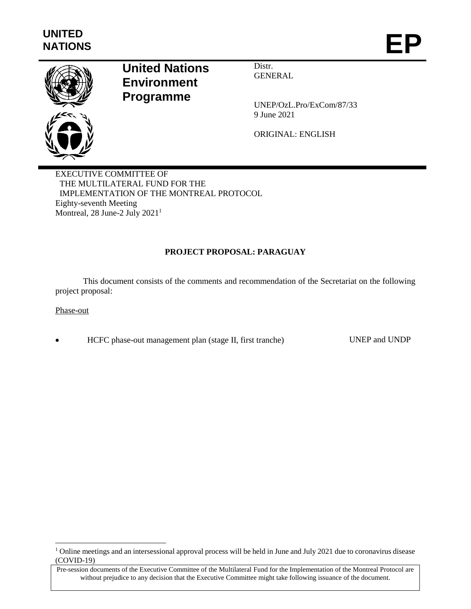

# **United Nations Environment Programme**

Distr. **GENERAL** 

UNEP/OzL.Pro/ExCom/87/33 9 June 2021

ORIGINAL: ENGLISH

EXECUTIVE COMMITTEE OF THE MULTILATERAL FUND FOR THE IMPLEMENTATION OF THE MONTREAL PROTOCOL Eighty-seventh Meeting Montreal, 28 June-2 July 2021<sup>1</sup>

# **PROJECT PROPOSAL: PARAGUAY**

This document consists of the comments and recommendation of the Secretariat on the following project proposal:

#### Phase-out

l

HCFC phase-out management plan (stage II, first tranche) UNEP and UNDP

<sup>&</sup>lt;sup>1</sup> Online meetings and an intersessional approval process will be held in June and July 2021 due to coronavirus disease (COVID-19)

Pre-session documents of the Executive Committee of the Multilateral Fund for the Implementation of the Montreal Protocol are without prejudice to any decision that the Executive Committee might take following issuance of the document.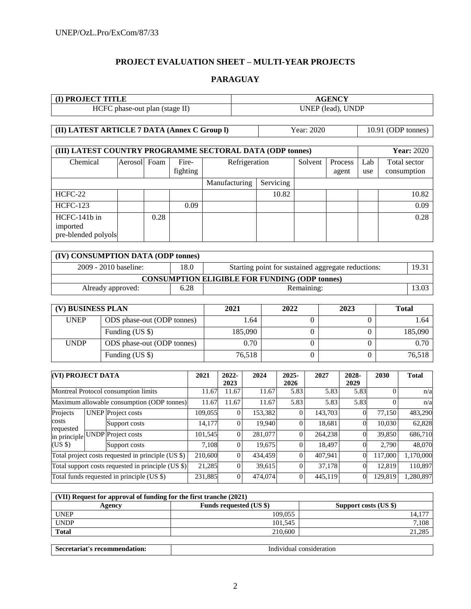# **PROJECT EVALUATION SHEET – MULTI-YEAR PROJECTS**

#### **PARAGUAY**

| <b>I) PROJECT TITLE</b>        | <b>AGENCY</b>     |
|--------------------------------|-------------------|
| HCFC phase-out plan (stage II) | UNEP (lead), UNDP |

**(II) LATEST ARTICLE 7 DATA (Annex C Group I)** Year: 2020 10.91 (ODP tonnes)

| (III) LATEST COUNTRY PROGRAMME SECTORAL DATA (ODP tonnes) | <b>Year: 2020</b> |      |                   |               |       |         |                  |            |                             |
|-----------------------------------------------------------|-------------------|------|-------------------|---------------|-------|---------|------------------|------------|-----------------------------|
| Chemical                                                  | Aerosol Foam      |      | Fire-<br>fighting | Refrigeration |       | Solvent | Process<br>agent | Lab<br>use | Total sector<br>consumption |
|                                                           |                   |      | Manufacturing     | Servicing     |       |         |                  |            |                             |
| HCFC-22                                                   |                   |      |                   |               | 10.82 |         |                  |            | 10.82                       |
| <b>HCFC-123</b>                                           |                   |      | 0.09              |               |       |         |                  |            | 0.09                        |
| HCFC-141b in<br>imported<br>pre-blended polyols           |                   | 0.28 |                   |               |       |         |                  |            | 0.28                        |

| (IV) CONSUMPTION DATA (ODP tonnes)                                                  |      |            |       |  |  |  |  |  |  |  |  |
|-------------------------------------------------------------------------------------|------|------------|-------|--|--|--|--|--|--|--|--|
| 2009 - 2010 baseline:<br>18.0<br>Starting point for sustained aggregate reductions: |      |            |       |  |  |  |  |  |  |  |  |
| <b>CONSUMPTION ELIGIBLE FOR FUNDING (ODP tonnes)</b>                                |      |            |       |  |  |  |  |  |  |  |  |
| Already approved:                                                                   | 6.28 | Remaining: | 13.03 |  |  |  |  |  |  |  |  |

| (V) BUSINESS PLAN |                            | 2021    | 2022 | 2023 | <b>Total</b> |
|-------------------|----------------------------|---------|------|------|--------------|
| <b>UNEP</b>       | ODS phase-out (ODP tonnes) | 1.64    |      |      | 1.64         |
|                   | Funding (US \$)            | 185,090 |      |      | 185,090      |
| <b>UNDP</b>       | ODS phase-out (ODP tonnes) | 0.70    |      |      | 0.70         |
|                   | Funding (US \$)            | 76,518  |      |      | 76,518       |

| <b>(VI) PROJECT DATA</b>                           |  |                                                    | 2021     | $2022 -$<br>2023 | 2024    | $2025 -$<br>2026 | 2027    | 2028-<br>2029 | 2030    | <b>Total</b> |
|----------------------------------------------------|--|----------------------------------------------------|----------|------------------|---------|------------------|---------|---------------|---------|--------------|
| Montreal Protocol consumption limits               |  |                                                    | 11.67    | 11.67            | 11.67   | 5.83             | 5.83    | 5.83          |         | n/a          |
| Maximum allowable consumption (ODP tonnes)         |  | 11.67                                              | 11.67    | 11.67            | 5.83    | 5.83             | 5.83    |               | n/a     |              |
| Projects                                           |  | <b>UNEP</b> Project costs                          | 109,055  | $\theta$         | 153,382 |                  | 143,703 |               | 77.150  | 483,290      |
| costs                                              |  | Support costs                                      | 14,177   | $\theta$         | 19,940  |                  | 18,681  |               | 10,030  | 62,828       |
| requested                                          |  | in principle UNDP Project costs                    | 101,545  | $\overline{0}$   | 281,077 | $\Omega$         | 264,238 |               | 39,850  | 686,710      |
| $(US \$                                            |  | Support costs                                      | 7.108    | $\Omega$         | 19,675  |                  | 18,497  |               | 2.790   | 48,070       |
|                                                    |  | Total project costs requested in principle (US \$) | 210,600  | $\theta$         | 434,459 | $\Omega$         | 407,941 | 0             | 117,000 | 1,170,000    |
| Total support costs requested in principle (US \$) |  | 21,285                                             | $\Omega$ | 39,615           |         | 37,178           |         | 12,819        | 110,897 |              |
|                                                    |  | Total funds requested in principle (US \$)         | 231,885  | $\overline{0}$   | 474,074 | $\Omega$         | 445,119 | 0             | 129,819 | 1,280,897    |

| (VII) Request for approval of funding for the first tranche (2021) |                                |                       |  |  |  |  |  |  |
|--------------------------------------------------------------------|--------------------------------|-----------------------|--|--|--|--|--|--|
| Agencv                                                             | <b>Funds requested (US \$)</b> | Support costs (US \$) |  |  |  |  |  |  |
| <b>UNEP</b>                                                        | 109.055                        | 14,177                |  |  |  |  |  |  |
| <b>UNDP</b>                                                        | 101.545                        | 7,108                 |  |  |  |  |  |  |
| <b>Total</b>                                                       | 210,600                        | 21,285                |  |  |  |  |  |  |

| recommen<br>riat<br>.001<br>– Sec<br>tıon<br>.<br>: 11 11 12 11<br>__ | consideration<br>ıvıdua<br>ndivi<br>. |
|-----------------------------------------------------------------------|---------------------------------------|
|                                                                       |                                       |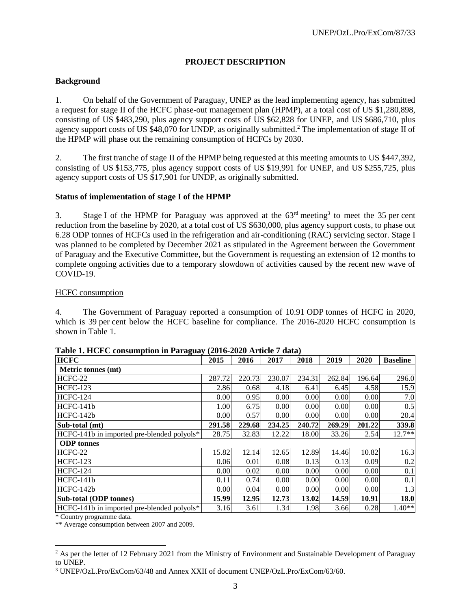# **PROJECT DESCRIPTION**

# **Background**

1. On behalf of the Government of Paraguay, UNEP as the lead implementing agency, has submitted a request for stage II of the HCFC phase-out management plan (HPMP), at a total cost of US \$1,280,898, consisting of US \$483,290, plus agency support costs of US \$62,828 for UNEP, and US \$686,710, plus agency support costs of US \$48,070 for UNDP, as originally submitted.<sup>2</sup> The implementation of stage II of the HPMP will phase out the remaining consumption of HCFCs by 2030.

2. The first tranche of stage II of the HPMP being requested at this meeting amounts to US \$447,392, consisting of US \$153,775, plus agency support costs of US \$19,991 for UNEP, and US \$255,725, plus agency support costs of US \$17,901 for UNDP, as originally submitted.

# **Status of implementation of stage I of the HPMP**

3. Stage I of the HPMP for Paraguay was approved at the  $63<sup>rd</sup>$  meeting<sup>3</sup> to meet the 35 per cent reduction from the baseline by 2020, at a total cost of US \$630,000, plus agency support costs, to phase out 6.28 ODP tonnes of HCFCs used in the refrigeration and air-conditioning (RAC) servicing sector. Stage I was planned to be completed by December 2021 as stipulated in the Agreement between the Government of Paraguay and the Executive Committee, but the Government is requesting an extension of 12 months to complete ongoing activities due to a temporary slowdown of activities caused by the recent new wave of COVID-19.

#### HCFC consumption

4. The Government of Paraguay reported a consumption of 10.91 ODP tonnes of HCFC in 2020, which is 39 per cent below the HCFC baseline for compliance. The 2016-2020 HCFC consumption is shown in Table 1.

| <b>HCFC</b>                                | 2015   | 2016   | 2017   | 2018   | 2019   | 2020   | <b>Baseline</b> |
|--------------------------------------------|--------|--------|--------|--------|--------|--------|-----------------|
| Metric tonnes (mt)                         |        |        |        |        |        |        |                 |
| HCFC-22                                    | 287.72 | 220.73 | 230.07 | 234.31 | 262.84 | 196.64 | 296.0           |
| <b>HCFC-123</b>                            | 2.86   | 0.68   | 4.18   | 6.41   | 6.45   | 4.58   | 15.9            |
| <b>HCFC-124</b>                            | 0.00   | 0.95   | 0.00   | 0.00   | 0.00   | 0.00   | 7.0             |
| HCFC-141b                                  | 1.00   | 6.75   | 0.00   | 0.00   | 0.00   | 0.00   | 0.5             |
| HCFC-142b                                  | 0.00   | 0.57   | 0.00   | 0.00   | 0.00   | 0.00   | 20.4            |
| Sub-total (mt)                             | 291.58 | 229.68 | 234.25 | 240.72 | 269.29 | 201.22 | 339.8           |
| HCFC-141b in imported pre-blended polyols* | 28.75  | 32.83  | 12.22  | 18.00  | 33.26  | 2.54   | $12.7**$        |
| <b>ODP</b> tonnes                          |        |        |        |        |        |        |                 |
| HCFC-22                                    | 15.82  | 12.14  | 12.65  | 12.89  | 14.46  | 10.82  | 16.3            |
| <b>HCFC-123</b>                            | 0.06   | 0.01   | 0.08   | 0.13   | 0.13   | 0.09   | 0.2             |
| <b>HCFC-124</b>                            | 0.00   | 0.02   | 0.00   | 0.00   | 0.00   | 0.00   | 0.1             |
| HCFC-141b                                  | 0.11   | 0.74   | 0.00   | 0.00   | 0.00   | 0.00   | 0.1             |
| $HCFC-142h$                                | 0.00   | 0.04   | 0.00   | 0.00   | 0.00   | 0.00   | 1.3             |
| <b>Sub-total (ODP tonnes)</b>              | 15.99  | 12.95  | 12.73  | 13.02  | 14.59  | 10.91  | 18.0            |
| HCFC-141b in imported pre-blended polyols* | 3.16   | 3.61   | 1.34   | 1.98   | 3.66   | 0.28   | $1.40**$        |

**Table 1. HCFC consumption in Paraguay (2016-2020 Article 7 data)**

\* Country programme data.

l

\*\* Average consumption between 2007 and 2009.

<sup>&</sup>lt;sup>2</sup> As per the letter of 12 February 2021 from the Ministry of Environment and Sustainable Development of Paraguay to UNEP.

<sup>3</sup> UNEP/OzL.Pro/ExCom/63/48 and Annex XXII of document UNEP/OzL.Pro/ExCom/63/60.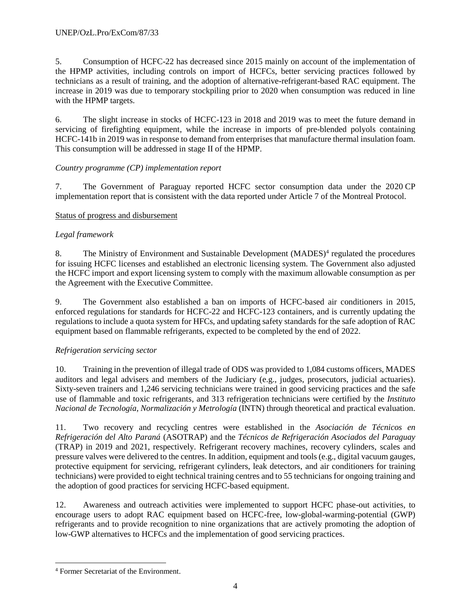5. Consumption of HCFC-22 has decreased since 2015 mainly on account of the implementation of the HPMP activities, including controls on import of HCFCs, better servicing practices followed by technicians as a result of training, and the adoption of alternative-refrigerant-based RAC equipment. The increase in 2019 was due to temporary stockpiling prior to 2020 when consumption was reduced in line with the HPMP targets.

6. The slight increase in stocks of HCFC-123 in 2018 and 2019 was to meet the future demand in servicing of firefighting equipment, while the increase in imports of pre-blended polyols containing HCFC-141b in 2019 was in response to demand from enterprises that manufacture thermal insulation foam. This consumption will be addressed in stage II of the HPMP.

# *Country programme (CP) implementation report*

7. The Government of Paraguay reported HCFC sector consumption data under the 2020 CP implementation report that is consistent with the data reported under Article 7 of the Montreal Protocol.

# Status of progress and disbursement

# *Legal framework*

8. The Ministry of Environment and Sustainable Development (MADES)<sup>4</sup> regulated the procedures for issuing HCFC licenses and established an electronic licensing system. The Government also adjusted the HCFC import and export licensing system to comply with the maximum allowable consumption as per the Agreement with the Executive Committee.

9. The Government also established a ban on imports of HCFC-based air conditioners in 2015, enforced regulations for standards for HCFC-22 and HCFC-123 containers, and is currently updating the regulations to include a quota system for HFCs, and updating safety standards for the safe adoption of RAC equipment based on flammable refrigerants, expected to be completed by the end of 2022.

# *Refrigeration servicing sector*

10. Training in the prevention of illegal trade of ODS was provided to 1,084 customs officers, MADES auditors and legal advisers and members of the Judiciary (e.g., judges, prosecutors, judicial actuaries). Sixty-seven trainers and 1,246 servicing technicians were trained in good servicing practices and the safe use of flammable and toxic refrigerants, and 313 refrigeration technicians were certified by the *Instituto Nacional de Tecnología, Normalización y Metrología* (INTN) through theoretical and practical evaluation.

11. Two recovery and recycling centres were established in the *Asociación de Técnicos en Refrigeración del Alto Paraná* (ASOTRAP) and the *Técnicos de Refrigeración Asociados del Paraguay* (TRAP) in 2019 and 2021, respectively. Refrigerant recovery machines, recovery cylinders, scales and pressure valves were delivered to the centres. In addition, equipment and tools (e.g., digital vacuum gauges, protective equipment for servicing, refrigerant cylinders, leak detectors, and air conditioners for training technicians) were provided to eight technical training centres and to 55 technicians for ongoing training and the adoption of good practices for servicing HCFC-based equipment.

12. Awareness and outreach activities were implemented to support HCFC phase-out activities, to encourage users to adopt RAC equipment based on HCFC-free, low-global-warming-potential (GWP) refrigerants and to provide recognition to nine organizations that are actively promoting the adoption of low-GWP alternatives to HCFCs and the implementation of good servicing practices.

 $\overline{a}$ 

<sup>4</sup> Former Secretariat of the Environment.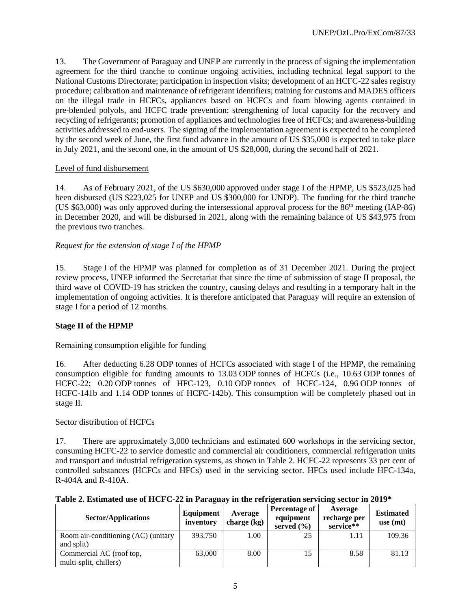13. The Government of Paraguay and UNEP are currently in the process of signing the implementation agreement for the third tranche to continue ongoing activities, including technical legal support to the National Customs Directorate; participation in inspection visits; development of an HCFC-22 sales registry procedure; calibration and maintenance of refrigerant identifiers; training for customs and MADES officers on the illegal trade in HCFCs, appliances based on HCFCs and foam blowing agents contained in pre-blended polyols, and HCFC trade prevention; strengthening of local capacity for the recovery and recycling of refrigerants; promotion of appliances and technologies free of HCFCs; and awareness-building activities addressed to end-users. The signing of the implementation agreement is expected to be completed by the second week of June, the first fund advance in the amount of US \$35,000 is expected to take place in July 2021, and the second one, in the amount of US \$28,000, during the second half of 2021.

# Level of fund disbursement

14. As of February 2021, of the US \$630,000 approved under stage I of the HPMP, US \$523,025 had been disbursed (US \$223,025 for UNEP and US \$300,000 for UNDP). The funding for the third tranche (US \$63,000) was only approved during the intersessional approval process for the 86th meeting (IAP-86) in December 2020, and will be disbursed in 2021, along with the remaining balance of US \$43,975 from the previous two tranches.

# *Request for the extension of stage I of the HPMP*

15. Stage I of the HPMP was planned for completion as of 31 December 2021. During the project review process, UNEP informed the Secretariat that since the time of submission of stage II proposal, the third wave of COVID-19 has stricken the country, causing delays and resulting in a temporary halt in the implementation of ongoing activities. It is therefore anticipated that Paraguay will require an extension of stage I for a period of 12 months.

# **Stage II of the HPMP**

# Remaining consumption eligible for funding

16. After deducting 6.28 ODP tonnes of HCFCs associated with stage I of the HPMP, the remaining consumption eligible for funding amounts to 13.03 ODP tonnes of HCFCs (i.e., 10.63 ODP tonnes of HCFC-22; 0.20 ODP tonnes of HFC-123, 0.10 ODP tonnes of HCFC-124, 0.96 ODP tonnes of HCFC-141b and 1.14 ODP tonnes of HCFC-142b). This consumption will be completely phased out in stage II.

#### Sector distribution of HCFCs

17. There are approximately 3,000 technicians and estimated 600 workshops in the servicing sector, consuming HCFC-22 to service domestic and commercial air conditioners, commercial refrigeration units and transport and industrial refrigeration systems, as shown in Table 2. HCFC-22 represents 33 per cent of controlled substances (HCFCs and HFCs) used in the servicing sector. HFCs used include HFC-134a, R-404A and R-410A.

|  |  | Table 2. Estimated use of HCFC-22 in Paraguay in the refrigeration servicing sector in 2019* |  |  |  |
|--|--|----------------------------------------------------------------------------------------------|--|--|--|

| <b>Sector/Applications</b>          | Equipment<br>inventory | Average<br>charge $(kg)$ | Percentage of<br>equipment<br>served $(\% )$ | Average<br>recharge per<br>service** | <b>Estimated</b><br>use $(mt)$ |
|-------------------------------------|------------------------|--------------------------|----------------------------------------------|--------------------------------------|--------------------------------|
| Room air-conditioning (AC) (unitary | 393,750                | 1.00 <sub>1</sub>        | 25                                           | 1.11                                 | 109.36                         |
| and split)                          |                        |                          |                                              |                                      |                                |
| Commercial AC (roof top,            | 63,000                 | 8.00                     | 15                                           | 8.58                                 | 81.13                          |
| multi-split, chillers)              |                        |                          |                                              |                                      |                                |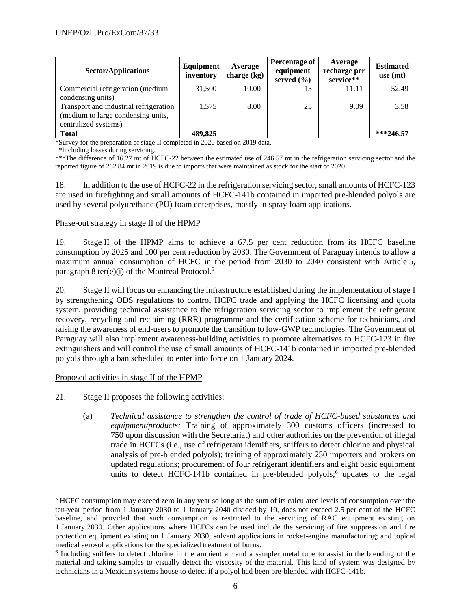| <b>Sector/Applications</b>                                                                           | Equipment<br>inventory | Average<br>charge $(kg)$ | Percentage of<br>equipment<br>served $(\% )$ | Average<br>recharge per<br>service** | <b>Estimated</b><br>use $(mt)$ |
|------------------------------------------------------------------------------------------------------|------------------------|--------------------------|----------------------------------------------|--------------------------------------|--------------------------------|
| Commercial refrigeration (medium<br>condensing units)                                                | 31,500                 | 10.00                    | 15                                           | 11.11                                | 52.49                          |
| Transport and industrial refrigeration<br>(medium to large condensing units,<br>centralized systems) | 1,575                  | 8.00                     | 25                                           | 9.09                                 | 3.58                           |
| <b>Total</b>                                                                                         | 489,825                |                          |                                              |                                      | $***246.57$                    |

\*Survey for the preparation of stage II completed in 2020 based on 2019 data.

\*\*Including losses during servicing.

\*\*\*The difference of 16.27 mt of HCFC-22 between the estimated use of 246.57 mt in the refrigeration servicing sector and the reported figure of 262.84 mt in 2019 is due to imports that were maintained as stock for the start of 2020.

18. In addition to the use of HCFC-22 in the refrigeration servicing sector, small amounts of HCFC-123 are used in firefighting and small amounts of HCFC-141b contained in imported pre-blended polyols are used by several polyurethane (PU) foam enterprises, mostly in spray foam applications.

#### Phase-out strategy in stage II of the HPMP

19. Stage II of the HPMP aims to achieve a 67.5 per cent reduction from its HCFC baseline consumption by 2025 and 100 per cent reduction by 2030. The Government of Paraguay intends to allow a maximum annual consumption of HCFC in the period from 2030 to 2040 consistent with Article 5, paragraph 8 ter(e)(i) of the Montreal Protocol.<sup>5</sup>

20. Stage II will focus on enhancing the infrastructure established during the implementation of stage I by strengthening ODS regulations to control HCFC trade and applying the HCFC licensing and quota system, providing technical assistance to the refrigeration servicing sector to implement the refrigerant recovery, recycling and reclaiming (RRR) programme and the certification scheme for technicians, and raising the awareness of end-users to promote the transition to low-GWP technologies. The Government of Paraguay will also implement awareness-building activities to promote alternatives to HCFC-123 in fire extinguishers and will control the use of small amounts of HCFC-141b contained in imported pre-blended polyols through a ban scheduled to enter into force on 1 January 2024.

#### Proposed activities in stage II of the HPMP

l

- 21. Stage II proposes the following activities:
	- (a) *Technical assistance to strengthen the control of trade of HCFC-based substances and equipment/products:* Training of approximately 300 customs officers (increased to 750 upon discussion with the Secretariat) and other authorities on the prevention of illegal trade in HCFCs (i.e., use of refrigerant identifiers, sniffers to detect chlorine and physical analysis of pre-blended polyols); training of approximately 250 importers and brokers on updated regulations; procurement of four refrigerant identifiers and eight basic equipment units to detect HCFC-141b contained in pre-blended polyols; $<sup>6</sup>$  updates to the legal</sup>

<sup>5</sup> HCFC consumption may exceed zero in any year so long as the sum of its calculated levels of consumption over the ten-year period from 1 January 2030 to 1 January 2040 divided by 10, does not exceed 2.5 per cent of the HCFC baseline, and provided that such consumption is restricted to the servicing of RAC equipment existing on 1 January 2030. Other applications where HCFCs can be used include the servicing of fire suppression and fire protection equipment existing on 1 January 2030; solvent applications in rocket-engine manufacturing; and topical medical aerosol applications for the specialized treatment of burns.

<sup>6</sup> Including sniffers to detect chlorine in the ambient air and a sampler metal tube to assist in the blending of the material and taking samples to visually detect the viscosity of the material. This kind of system was designed by technicians in a Mexican systems house to detect if a polyol had been pre-blended with HCFC-141b.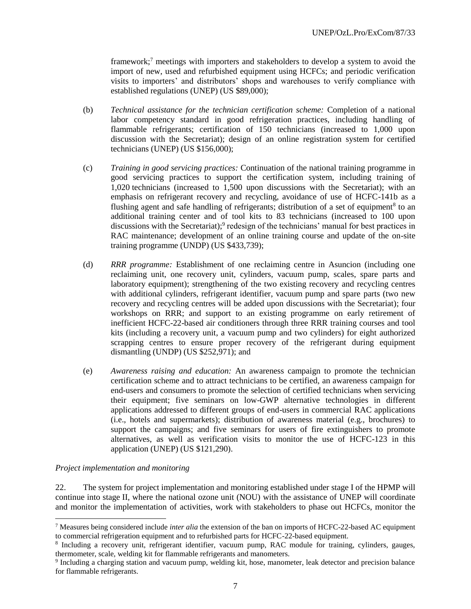framework;<sup>7</sup> meetings with importers and stakeholders to develop a system to avoid the import of new, used and refurbished equipment using HCFCs; and periodic verification visits to importers' and distributors' shops and warehouses to verify compliance with established regulations (UNEP) (US \$89,000);

- (b) *Technical assistance for the technician certification scheme:* Completion of a national labor competency standard in good refrigeration practices, including handling of flammable refrigerants; certification of 150 technicians (increased to 1,000 upon discussion with the Secretariat); design of an online registration system for certified technicians (UNEP) (US \$156,000);
- (c) *Training in good servicing practices:* Continuation of the national training programme in good servicing practices to support the certification system, including training of 1,020 technicians (increased to 1,500 upon discussions with the Secretariat); with an emphasis on refrigerant recovery and recycling, avoidance of use of HCFC-141b as a flushing agent and safe handling of refrigerants; distribution of a set of equipment<sup>8</sup> to an additional training center and of tool kits to 83 technicians (increased to 100 upon discussions with the Secretariat);<sup>9</sup> redesign of the technicians' manual for best practices in RAC maintenance; development of an online training course and update of the on-site training programme (UNDP) (US \$433,739);
- (d) *RRR programme:* Establishment of one reclaiming centre in Asuncion (including one reclaiming unit, one recovery unit, cylinders, vacuum pump, scales, spare parts and laboratory equipment); strengthening of the two existing recovery and recycling centres with additional cylinders, refrigerant identifier, vacuum pump and spare parts (two new recovery and recycling centres will be added upon discussions with the Secretariat); four workshops on RRR; and support to an existing programme on early retirement of inefficient HCFC-22-based air conditioners through three RRR training courses and tool kits (including a recovery unit, a vacuum pump and two cylinders) for eight authorized scrapping centres to ensure proper recovery of the refrigerant during equipment dismantling (UNDP) (US \$252,971); and
- (e) *Awareness raising and education:* An awareness campaign to promote the technician certification scheme and to attract technicians to be certified, an awareness campaign for end-users and consumers to promote the selection of certified technicians when servicing their equipment; five seminars on low-GWP alternative technologies in different applications addressed to different groups of end-users in commercial RAC applications (i.e., hotels and supermarkets); distribution of awareness material (e.g., brochures) to support the campaigns; and five seminars for users of fire extinguishers to promote alternatives, as well as verification visits to monitor the use of HCFC-123 in this application (UNEP) (US \$121,290).

#### *Project implementation and monitoring*

l

22. The system for project implementation and monitoring established under stage I of the HPMP will continue into stage II, where the national ozone unit (NOU) with the assistance of UNEP will coordinate and monitor the implementation of activities, work with stakeholders to phase out HCFCs, monitor the

<sup>7</sup> Measures being considered include *inter alia* the extension of the ban on imports of HCFC-22-based AC equipment to commercial refrigeration equipment and to refurbished parts for HCFC-22-based equipment.

<sup>8</sup> Including a recovery unit, refrigerant identifier, vacuum pump, RAC module for training, cylinders, gauges, thermometer, scale, welding kit for flammable refrigerants and manometers.

<sup>9</sup> Including a charging station and vacuum pump, welding kit, hose, manometer, leak detector and precision balance for flammable refrigerants.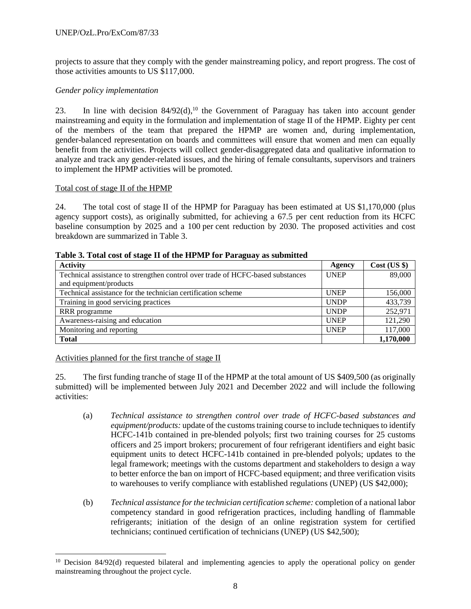projects to assure that they comply with the gender mainstreaming policy, and report progress. The cost of those activities amounts to US \$117,000.

# *Gender policy implementation*

23. In line with decision  $84/92(d)$ ,<sup>10</sup> the Government of Paraguay has taken into account gender mainstreaming and equity in the formulation and implementation of stage II of the HPMP. Eighty per cent of the members of the team that prepared the HPMP are women and, during implementation, gender-balanced representation on boards and committees will ensure that women and men can equally benefit from the activities. Projects will collect gender-disaggregated data and qualitative information to analyze and track any gender-related issues, and the hiring of female consultants, supervisors and trainers to implement the HPMP activities will be promoted.

# Total cost of stage II of the HPMP

24. The total cost of stage II of the HPMP for Paraguay has been estimated at US \$1,170,000 (plus agency support costs), as originally submitted, for achieving a 67.5 per cent reduction from its HCFC baseline consumption by 2025 and a 100 per cent reduction by 2030. The proposed activities and cost breakdown are summarized in Table 3.

| <b>Activity</b>                                                                | Agency      | Cost (US \$) |
|--------------------------------------------------------------------------------|-------------|--------------|
| Technical assistance to strengthen control over trade of HCFC-based substances | <b>UNEP</b> | 89,000       |
| and equipment/products                                                         |             |              |
| Technical assistance for the technician certification scheme                   | <b>UNEP</b> | 156,000      |
| Training in good servicing practices                                           | <b>UNDP</b> | 433,739      |
| RRR programme                                                                  | <b>UNDP</b> | 252,971      |
| Awareness-raising and education                                                | <b>UNEP</b> | 121,290      |
| Monitoring and reporting                                                       | <b>UNEP</b> | 117,000      |
| <b>Total</b>                                                                   |             | 1,170,000    |

**Table 3. Total cost of stage II of the HPMP for Paraguay as submitted** 

Activities planned for the first tranche of stage II

l

25. The first funding tranche of stage II of the HPMP at the total amount of US \$409,500 (as originally submitted) will be implemented between July 2021 and December 2022 and will include the following activities:

- (a) *Technical assistance to strengthen control over trade of HCFC-based substances and equipment/products:* update of the customs training course to include techniques to identify HCFC-141b contained in pre-blended polyols; first two training courses for 25 customs officers and 25 import brokers; procurement of four refrigerant identifiers and eight basic equipment units to detect HCFC-141b contained in pre-blended polyols; updates to the legal framework; meetings with the customs department and stakeholders to design a way to better enforce the ban on import of HCFC-based equipment; and three verification visits to warehouses to verify compliance with established regulations (UNEP) (US \$42,000);
- (b) *Technical assistance for the technician certification scheme:* completion of a national labor competency standard in good refrigeration practices, including handling of flammable refrigerants; initiation of the design of an online registration system for certified technicians; continued certification of technicians (UNEP) (US \$42,500);

<sup>&</sup>lt;sup>10</sup> Decision 84/92(d) requested bilateral and implementing agencies to apply the operational policy on gender mainstreaming throughout the project cycle.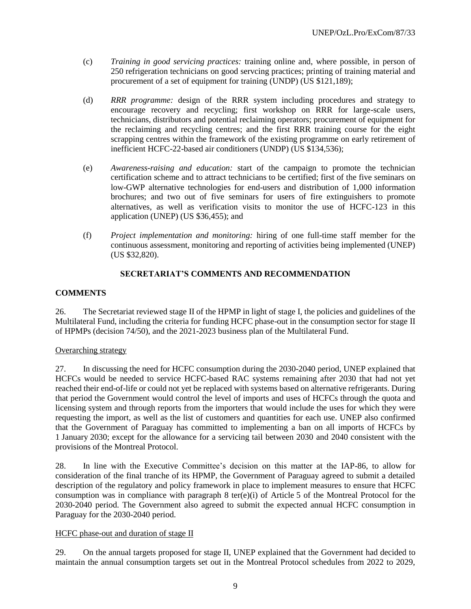- (c) *Training in good servicing practices:* training online and, where possible, in person of 250 refrigeration technicians on good servcing practices; printing of training material and procurement of a set of equipment for training (UNDP) (US \$121,189);
- (d) *RRR programme:* design of the RRR system including procedures and strategy to encourage recovery and recycling; first workshop on RRR for large-scale users, technicians, distributors and potential reclaiming operators; procurement of equipment for the reclaiming and recycling centres; and the first RRR training course for the eight scrapping centres within the framework of the existing programme on early retirement of inefficient HCFC-22-based air conditioners (UNDP) (US \$134,536);
- (e) *Awareness-raising and education:* start of the campaign to promote the technician certification scheme and to attract technicians to be certified; first of the five seminars on low-GWP alternative technologies for end-users and distribution of 1,000 information brochures; and two out of five seminars for users of fire extinguishers to promote alternatives, as well as verification visits to monitor the use of HCFC-123 in this application (UNEP) (US \$36,455); and
- (f) *Project implementation and monitoring:* hiring of one full-time staff member for the continuous assessment, monitoring and reporting of activities being implemented (UNEP) (US \$32,820).

# **SECRETARIAT'S COMMENTS AND RECOMMENDATION**

#### **COMMENTS**

26. The Secretariat reviewed stage II of the HPMP in light of stage I, the policies and guidelines of the Multilateral Fund, including the criteria for funding HCFC phase-out in the consumption sector for stage II of HPMPs (decision 74/50), and the 2021-2023 business plan of the Multilateral Fund.

#### Overarching strategy

27. In discussing the need for HCFC consumption during the 2030-2040 period, UNEP explained that HCFCs would be needed to service HCFC-based RAC systems remaining after 2030 that had not yet reached their end-of-life or could not yet be replaced with systems based on alternative refrigerants. During that period the Government would control the level of imports and uses of HCFCs through the quota and licensing system and through reports from the importers that would include the uses for which they were requesting the import, as well as the list of customers and quantities for each use. UNEP also confirmed that the Government of Paraguay has committed to implementing a ban on all imports of HCFCs by 1 January 2030; except for the allowance for a servicing tail between 2030 and 2040 consistent with the provisions of the Montreal Protocol.

28. In line with the Executive Committee's decision on this matter at the IAP-86, to allow for consideration of the final tranche of its HPMP, the Government of Paraguay agreed to submit a detailed description of the regulatory and policy framework in place to implement measures to ensure that HCFC consumption was in compliance with paragraph 8 ter(e)(i) of Article 5 of the Montreal Protocol for the 2030-2040 period. The Government also agreed to submit the expected annual HCFC consumption in Paraguay for the 2030-2040 period.

#### HCFC phase-out and duration of stage II

29. On the annual targets proposed for stage II, UNEP explained that the Government had decided to maintain the annual consumption targets set out in the Montreal Protocol schedules from 2022 to 2029,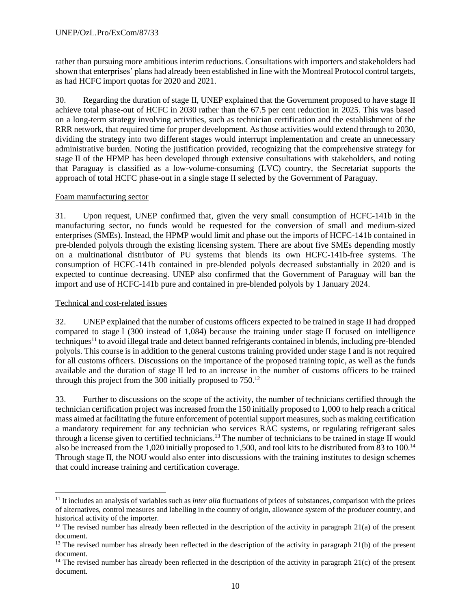rather than pursuing more ambitious interim reductions. Consultations with importers and stakeholders had shown that enterprises' plans had already been established in line with the Montreal Protocol control targets, as had HCFC import quotas for 2020 and 2021.

30. Regarding the duration of stage II, UNEP explained that the Government proposed to have stage II achieve total phase-out of HCFC in 2030 rather than the 67.5 per cent reduction in 2025. This was based on a long-term strategy involving activities, such as technician certification and the establishment of the RRR network, that required time for proper development. As those activities would extend through to 2030, dividing the strategy into two different stages would interrupt implementation and create an unnecessary administrative burden. Noting the justification provided, recognizing that the comprehensive strategy for stage II of the HPMP has been developed through extensive consultations with stakeholders, and noting that Paraguay is classified as a low-volume-consuming (LVC) country, the Secretariat supports the approach of total HCFC phase-out in a single stage II selected by the Government of Paraguay.

# Foam manufacturing sector

31. Upon request, UNEP confirmed that, given the very small consumption of HCFC-141b in the manufacturing sector, no funds would be requested for the conversion of small and medium-sized enterprises (SMEs). Instead, the HPMP would limit and phase out the imports of HCFC-141b contained in pre-blended polyols through the existing licensing system. There are about five SMEs depending mostly on a multinational distributor of PU systems that blends its own HCFC-141b-free systems. The consumption of HCFC-141b contained in pre-blended polyols decreased substantially in 2020 and is expected to continue decreasing. UNEP also confirmed that the Government of Paraguay will ban the import and use of HCFC-141b pure and contained in pre-blended polyols by 1 January 2024.

# Technical and cost-related issues

l

32. UNEP explained that the number of customs officers expected to be trained in stage II had dropped compared to stage I (300 instead of 1,084) because the training under stage II focused on intelligence techniques<sup>11</sup> to avoid illegal trade and detect banned refrigerants contained in blends, including pre-blended polyols. This course is in addition to the general customs training provided under stage I and is not required for all customs officers. Discussions on the importance of the proposed training topic, as well as the funds available and the duration of stage II led to an increase in the number of customs officers to be trained through this project from the 300 initially proposed to 750.<sup>12</sup>

33. Further to discussions on the scope of the activity, the number of technicians certified through the technician certification project was increased from the 150 initially proposed to 1,000 to help reach a critical mass aimed at facilitating the future enforcement of potential support measures, such as making certification a mandatory requirement for any technician who services RAC systems, or regulating refrigerant sales through a license given to certified technicians. <sup>13</sup> The number of technicians to be trained in stage II would also be increased from the 1,020 initially proposed to 1,500, and tool kits to be distributed from 83 to 100.<sup>14</sup> Through stage II, the NOU would also enter into discussions with the training institutes to design schemes that could increase training and certification coverage.

<sup>11</sup> It includes an analysis of variables such as *inter alia* fluctuations of prices of substances, comparison with the prices of alternatives, control measures and labelling in the country of origin, allowance system of the producer country, and historical activity of the importer.

<sup>&</sup>lt;sup>12</sup> The revised number has already been reflected in the description of the activity in paragraph  $21(a)$  of the present document.

 $<sup>13</sup>$  The revised number has already been reflected in the description of the activity in paragraph 21(b) of the present</sup> document.

 $14$  The revised number has already been reflected in the description of the activity in paragraph 21(c) of the present document.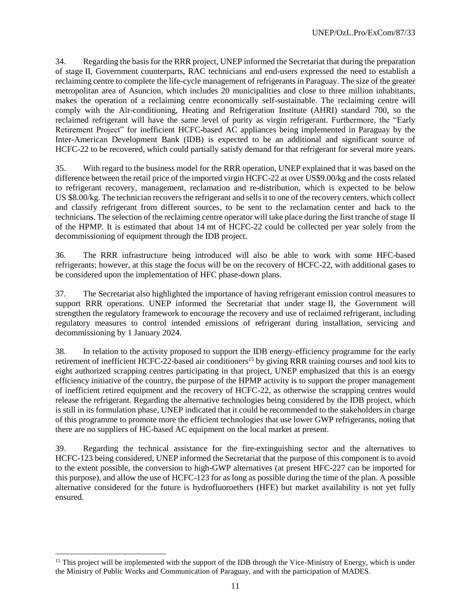34. Regarding the basis for the RRR project, UNEP informed the Secretariat that during the preparation of stage II, Government counterparts, RAC technicians and end-users expressed the need to establish a reclaiming centre to complete the life-cycle management of refrigerants in Paraguay. The size of the greater metropolitan area of Asuncion, which includes 20 municipalities and close to three million inhabitants, makes the operation of a reclaiming centre economically self-sustainable. The reclaiming centre will comply with the Air-conditioning, Heating and Refrigeration Institute (AHRI) standard 700, so the reclaimed refrigerant will have the same level of purity as virgin refrigerant. Furthermore, the "Early Retirement Project" for inefficient HCFC-based AC appliances being implemented in Paraguay by the Inter-American Development Bank (IDB) is expected to be an additional and significant source of HCFC-22 to be recovered, which could partially satisfy demand for that refrigerant for several more years.

35. With regard to the business model for the RRR operation, UNEP explained that it was based on the difference between the retail price of the imported virgin HCFC-22 at over US\$9.00/kg and the costs related to refrigerant recovery, management, reclamation and re-distribution, which is expected to be below US \$8.00/kg. The technician recovers the refrigerant and sells it to one of the recovery centers, which collect and classify refrigerant from different sources, to be sent to the reclamation center and back to the technicians. The selection of the reclaiming centre operator will take place during the first tranche of stage II of the HPMP. It is estimated that about 14 mt of HCFC-22 could be collected per year solely from the decommissioning of equipment through the IDB project.

36. The RRR infrastructure being introduced will also be able to work with some HFC-based refrigerants; however, at this stage the focus will be on the recovery of HCFC-22, with additional gases to be considered upon the implementation of HFC phase-down plans.

37. The Secretariat also highlighted the importance of having refrigerant emission control measures to support RRR operations. UNEP informed the Secretariat that under stage II, the Government will strengthen the regulatory framework to encourage the recovery and use of reclaimed refrigerant, including regulatory measures to control intended emissions of refrigerant during installation, servicing and decommissioning by 1 January 2024.

38. In relation to the activity proposed to support the IDB energy-efficiency programme for the early retirement of inefficient HCFC-22-based air conditioners<sup>15</sup> by giving RRR training courses and tool kits to eight authorized scrapping centres participating in that project, UNEP emphasized that this is an energy efficiency initiative of the country, the purpose of the HPMP activity is to support the proper management of inefficient retired equipment and the recovery of HCFC-22, as otherwise the scrapping centres would release the refrigerant. Regarding the alternative technologies being considered by the IDB project, which is still in its formulation phase, UNEP indicated that it could be recommended to the stakeholders in charge of this programme to promote more the efficient technologies that use lower GWP refrigerants, noting that there are no suppliers of HC-based AC equipment on the local market at present.

39. Regarding the technical assistance for the fire-extinguishing sector and the alternatives to HCFC-123 being considered, UNEP informed the Secretariat that the purpose of this component is to avoid to the extent possible, the conversion to high-GWP alternatives (at present HFC-227 can be imported for this purpose), and allow the use of HCFC-123 for as long as possible during the time of the plan. A possible alternative considered for the future is hydrofluoroethers (HFE) but market availability is not yet fully ensured.

l

 $15$  This project will be implemented with the support of the IDB through the Vice-Ministry of Energy, which is under the Ministry of Public Works and Communication of Paraguay, and with the participation of MADES.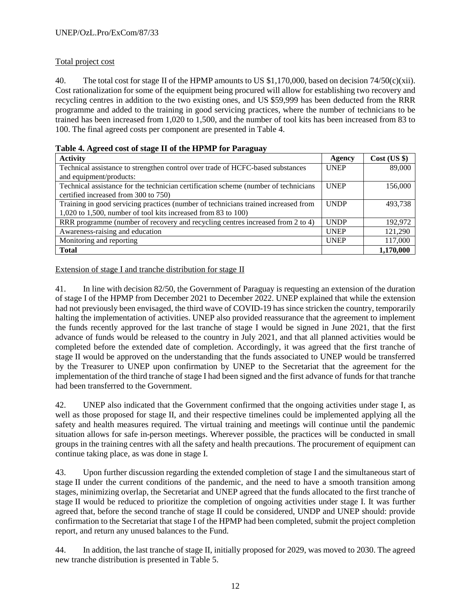# Total project cost

40. The total cost for stage II of the HPMP amounts to US \$1,170,000, based on decision 74/50(c)(xii). Cost rationalization for some of the equipment being procured will allow for establishing two recovery and recycling centres in addition to the two existing ones, and US \$59,999 has been deducted from the RRR programme and added to the training in good servicing practices, where the number of technicians to be trained has been increased from 1,020 to 1,500, and the number of tool kits has been increased from 83 to 100. The final agreed costs per component are presented in Table 4.

| <b>Activity</b>                                                                     | Agency      | Cost (US \$) |
|-------------------------------------------------------------------------------------|-------------|--------------|
| Technical assistance to strengthen control over trade of HCFC-based substances      | <b>UNEP</b> | 89,000       |
| and equipment/products:                                                             |             |              |
| Technical assistance for the technician certification scheme (number of technicians | <b>UNEP</b> | 156,000      |
| certified increased from 300 to 750)                                                |             |              |
| Training in good servicing practices (number of technicians trained increased from  | <b>UNDP</b> | 493.738      |
| 1,020 to 1,500, number of tool kits increased from 83 to 100)                       |             |              |
| RRR programme (number of recovery and recycling centres increased from 2 to 4)      | <b>UNDP</b> | 192,972      |
| Awareness-raising and education                                                     | <b>UNEP</b> | 121,290      |
| Monitoring and reporting                                                            | <b>UNEP</b> | 117,000      |
| <b>Total</b>                                                                        |             | 1,170,000    |

| Table 4. Agreed cost of stage II of the HPMP for Paraguay |  |  |  |  |
|-----------------------------------------------------------|--|--|--|--|
|                                                           |  |  |  |  |

Extension of stage I and tranche distribution for stage II

41. In line with decision 82/50, the Government of Paraguay is requesting an extension of the duration of stage I of the HPMP from December 2021 to December 2022. UNEP explained that while the extension had not previously been envisaged, the third wave of COVID-19 has since stricken the country, temporarily halting the implementation of activities. UNEP also provided reassurance that the agreement to implement the funds recently approved for the last tranche of stage I would be signed in June 2021, that the first advance of funds would be released to the country in July 2021, and that all planned activities would be completed before the extended date of completion. Accordingly, it was agreed that the first tranche of stage II would be approved on the understanding that the funds associated to UNEP would be transferred by the Treasurer to UNEP upon confirmation by UNEP to the Secretariat that the agreement for the implementation of the third tranche of stage I had been signed and the first advance of funds for that tranche had been transferred to the Government.

42. UNEP also indicated that the Government confirmed that the ongoing activities under stage I, as well as those proposed for stage II, and their respective timelines could be implemented applying all the safety and health measures required. The virtual training and meetings will continue until the pandemic situation allows for safe in-person meetings. Wherever possible, the practices will be conducted in small groups in the training centres with all the safety and health precautions. The procurement of equipment can continue taking place, as was done in stage I.

43. Upon further discussion regarding the extended completion of stage I and the simultaneous start of stage II under the current conditions of the pandemic, and the need to have a smooth transition among stages, minimizing overlap, the Secretariat and UNEP agreed that the funds allocated to the first tranche of stage II would be reduced to prioritize the completion of ongoing activities under stage I. It was further agreed that, before the second tranche of stage II could be considered, UNDP and UNEP should: provide confirmation to the Secretariat that stage I of the HPMP had been completed, submit the project completion report, and return any unused balances to the Fund.

44. In addition, the last tranche of stage II, initially proposed for 2029, was moved to 2030. The agreed new tranche distribution is presented in Table 5.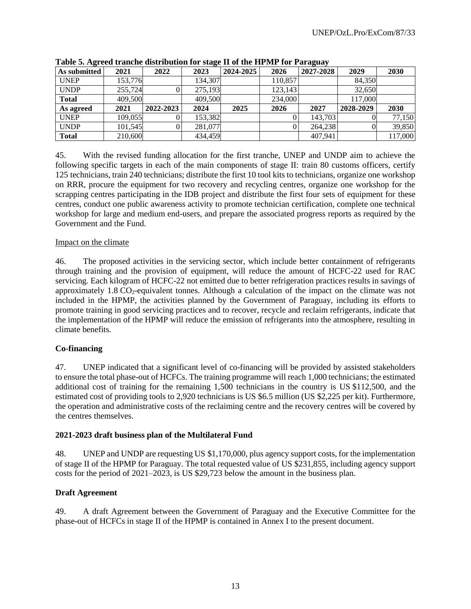| As submitted | 2021    | 2022      | 2023    | 2024-2025 | 2026    | 2027-2028 | 2029      | 2030    |
|--------------|---------|-----------|---------|-----------|---------|-----------|-----------|---------|
| <b>UNEP</b>  | 153,776 |           | 134,307 |           | 110,857 |           | 84.350    |         |
| <b>UNDP</b>  | 255,724 |           | 275,193 |           | 123,143 |           | 32,650    |         |
| <b>Total</b> | 409,500 |           | 409,500 |           | 234,000 |           | 117,000   |         |
| As agreed    | 2021    | 2022-2023 | 2024    | 2025      | 2026    | 2027      | 2028-2029 | 2030    |
| <b>UNEP</b>  | 109,055 |           | 153,382 |           |         | 143.703   | O.        | 77,150  |
| <b>UNDP</b>  | 101,545 |           | 281,077 |           |         | 264,238   | 0l        | 39,850  |
| <b>Total</b> | 210,600 |           | 434,459 |           |         | 407.941   |           | 117,000 |

**Table 5. Agreed tranche distribution for stage II of the HPMP for Paraguay**

45. With the revised funding allocation for the first tranche, UNEP and UNDP aim to achieve the following specific targets in each of the main components of stage II: train 80 customs officers, certify 125 technicians, train 240 technicians; distribute the first 10 tool kits to technicians, organize one workshop on RRR, procure the equipment for two recovery and recycling centres, organize one workshop for the scrapping centres participating in the IDB project and distribute the first four sets of equipment for these centres, conduct one public awareness activity to promote technician certification, complete one technical workshop for large and medium end-users, and prepare the associated progress reports as required by the Government and the Fund.

# Impact on the climate

46. The proposed activities in the servicing sector, which include better containment of refrigerants through training and the provision of equipment, will reduce the amount of HCFC-22 used for RAC servicing. Each kilogram of HCFC-22 not emitted due to better refrigeration practices results in savings of approximately  $1.8 \text{ CO}_2$ -equivalent tonnes. Although a calculation of the impact on the climate was not included in the HPMP, the activities planned by the Government of Paraguay, including its efforts to promote training in good servicing practices and to recover, recycle and reclaim refrigerants, indicate that the implementation of the HPMP will reduce the emission of refrigerants into the atmosphere, resulting in climate benefits.

# **Co-financing**

47. UNEP indicated that a significant level of co-financing will be provided by assisted stakeholders to ensure the total phase-out of HCFCs. The training programme will reach 1,000 technicians; the estimated additional cost of training for the remaining 1,500 technicians in the country is US \$112,500, and the estimated cost of providing tools to 2,920 technicians is US \$6.5 million (US \$2,225 per kit). Furthermore, the operation and administrative costs of the reclaiming centre and the recovery centres will be covered by the centres themselves.

#### **2021-2023 draft business plan of the Multilateral Fund**

48. UNEP and UNDP are requesting US \$1,170,000, plus agency support costs, for the implementation of stage II of the HPMP for Paraguay. The total requested value of US \$231,855, including agency support costs for the period of 2021–2023, is US \$29,723 below the amount in the business plan.

# **Draft Agreement**

49. A draft Agreement between the Government of Paraguay and the Executive Committee for the phase-out of HCFCs in stage II of the HPMP is contained in Annex I to the present document.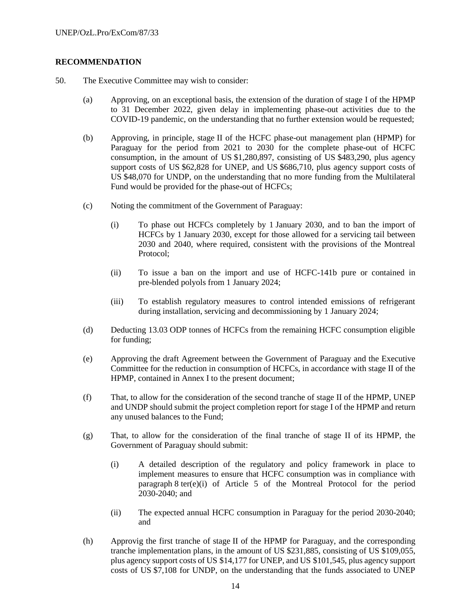# **RECOMMENDATION**

- 50. The Executive Committee may wish to consider:
	- (a) Approving, on an exceptional basis, the extension of the duration of stage I of the HPMP to 31 December 2022, given delay in implementing phase-out activities due to the COVID-19 pandemic, on the understanding that no further extension would be requested;
	- (b) Approving, in principle, stage II of the HCFC phase-out management plan (HPMP) for Paraguay for the period from 2021 to 2030 for the complete phase-out of HCFC consumption, in the amount of US \$1,280,897, consisting of US \$483,290, plus agency support costs of US \$62,828 for UNEP, and US \$686,710, plus agency support costs of US \$48,070 for UNDP, on the understanding that no more funding from the Multilateral Fund would be provided for the phase-out of HCFCs;
	- (c) Noting the commitment of the Government of Paraguay:
		- (i) To phase out HCFCs completely by 1 January 2030, and to ban the import of HCFCs by 1 January 2030, except for those allowed for a servicing tail between 2030 and 2040, where required, consistent with the provisions of the Montreal Protocol;
		- (ii) To issue a ban on the import and use of HCFC-141b pure or contained in pre-blended polyols from 1 January 2024;
		- (iii) To establish regulatory measures to control intended emissions of refrigerant during installation, servicing and decommissioning by 1 January 2024;
	- (d) Deducting 13.03 ODP tonnes of HCFCs from the remaining HCFC consumption eligible for funding;
	- (e) Approving the draft Agreement between the Government of Paraguay and the Executive Committee for the reduction in consumption of HCFCs, in accordance with stage II of the HPMP, contained in Annex I to the present document;
	- (f) That, to allow for the consideration of the second tranche of stage II of the HPMP, UNEP and UNDP should submit the project completion report for stage I of the HPMP and return any unused balances to the Fund;
	- (g) That, to allow for the consideration of the final tranche of stage II of its HPMP, the Government of Paraguay should submit:
		- (i) A detailed description of the regulatory and policy framework in place to implement measures to ensure that HCFC consumption was in compliance with paragraph 8 ter(e)(i) of Article 5 of the Montreal Protocol for the period 2030-2040; and
		- (ii) The expected annual HCFC consumption in Paraguay for the period 2030-2040; and
	- (h) Approvig the first tranche of stage II of the HPMP for Paraguay, and the corresponding tranche implementation plans, in the amount of US \$231,885, consisting of US \$109,055, plus agency support costs of US \$14,177 for UNEP, and US \$101,545, plus agency support costs of US \$7,108 for UNDP, on the understanding that the funds associated to UNEP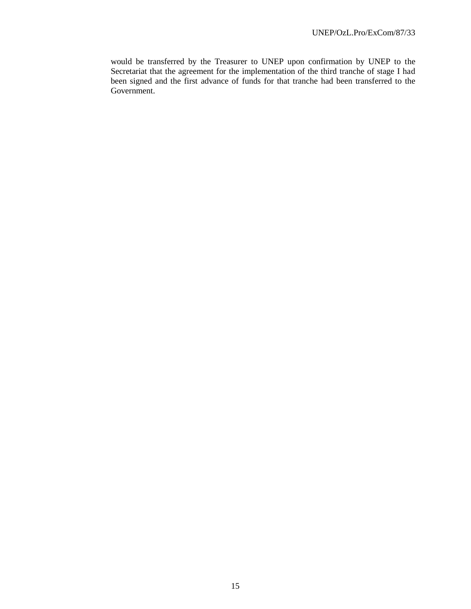would be transferred by the Treasurer to UNEP upon confirmation by UNEP to the Secretariat that the agreement for the implementation of the third tranche of stage I had been signed and the first advance of funds for that tranche had been transferred to the Government.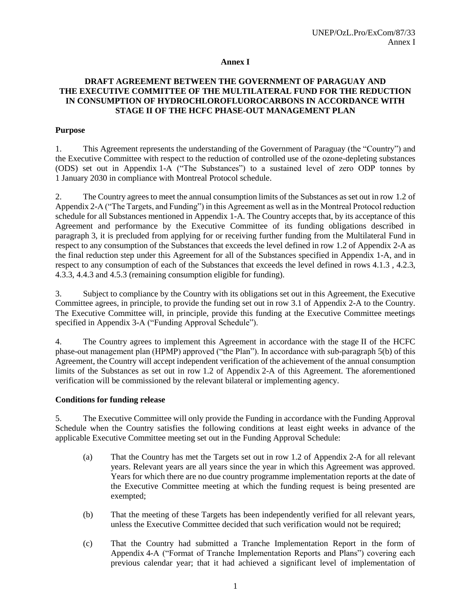## **Annex I**

## **DRAFT AGREEMENT BETWEEN THE GOVERNMENT OF PARAGUAY AND THE EXECUTIVE COMMITTEE OF THE MULTILATERAL FUND FOR THE REDUCTION IN CONSUMPTION OF HYDROCHLOROFLUOROCARBONS IN ACCORDANCE WITH STAGE II OF THE HCFC PHASE-OUT MANAGEMENT PLAN**

#### **Purpose**

1. This Agreement represents the understanding of the Government of Paraguay (the "Country") and the Executive Committee with respect to the reduction of controlled use of the ozone-depleting substances (ODS) set out in Appendix 1-A ("The Substances") to a sustained level of zero ODP tonnes by 1 January 2030 in compliance with Montreal Protocol schedule.

2. The Country agrees to meet the annual consumption limits of the Substances as set out in row 1.2 of Appendix 2-A ("The Targets, and Funding") in this Agreement as well as in the Montreal Protocol reduction schedule for all Substances mentioned in Appendix 1-A. The Country accepts that, by its acceptance of this Agreement and performance by the Executive Committee of its funding obligations described in paragraph 3, it is precluded from applying for or receiving further funding from the Multilateral Fund in respect to any consumption of the Substances that exceeds the level defined in row 1.2 of Appendix 2-A as the final reduction step under this Agreement for all of the Substances specified in Appendix 1-A, and in respect to any consumption of each of the Substances that exceeds the level defined in rows 4.1.3 , 4.2.3, 4.3.3, 4.4.3 and 4.5.3 (remaining consumption eligible for funding).

3. Subject to compliance by the Country with its obligations set out in this Agreement, the Executive Committee agrees, in principle, to provide the funding set out in row 3.1 of Appendix 2-A to the Country. The Executive Committee will, in principle, provide this funding at the Executive Committee meetings specified in Appendix 3-A ("Funding Approval Schedule").

4. The Country agrees to implement this Agreement in accordance with the stage II of the HCFC phase-out management plan (HPMP) approved ("the Plan"). In accordance with sub-paragraph 5(b) of this Agreement, the Country will accept independent verification of the achievement of the annual consumption limits of the Substances as set out in row 1.2 of Appendix 2-A of this Agreement. The aforementioned verification will be commissioned by the relevant bilateral or implementing agency.

#### **Conditions for funding release**

5. The Executive Committee will only provide the Funding in accordance with the Funding Approval Schedule when the Country satisfies the following conditions at least eight weeks in advance of the applicable Executive Committee meeting set out in the Funding Approval Schedule:

- (a) That the Country has met the Targets set out in row 1.2 of Appendix 2-A for all relevant years. Relevant years are all years since the year in which this Agreement was approved. Years for which there are no due country programme implementation reports at the date of the Executive Committee meeting at which the funding request is being presented are exempted;
- (b) That the meeting of these Targets has been independently verified for all relevant years, unless the Executive Committee decided that such verification would not be required;
- (c) That the Country had submitted a Tranche Implementation Report in the form of Appendix 4-A ("Format of Tranche Implementation Reports and Plans") covering each previous calendar year; that it had achieved a significant level of implementation of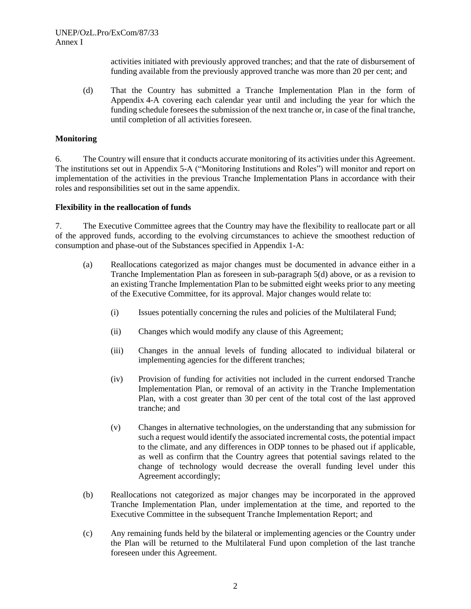activities initiated with previously approved tranches; and that the rate of disbursement of funding available from the previously approved tranche was more than 20 per cent; and

(d) That the Country has submitted a Tranche Implementation Plan in the form of Appendix 4-A covering each calendar year until and including the year for which the funding schedule foresees the submission of the next tranche or, in case of the final tranche, until completion of all activities foreseen.

#### **Monitoring**

6. The Country will ensure that it conducts accurate monitoring of its activities under this Agreement. The institutions set out in Appendix 5-A ("Monitoring Institutions and Roles") will monitor and report on implementation of the activities in the previous Tranche Implementation Plans in accordance with their roles and responsibilities set out in the same appendix.

#### **Flexibility in the reallocation of funds**

7. The Executive Committee agrees that the Country may have the flexibility to reallocate part or all of the approved funds, according to the evolving circumstances to achieve the smoothest reduction of consumption and phase-out of the Substances specified in Appendix 1-A:

- (a) Reallocations categorized as major changes must be documented in advance either in a Tranche Implementation Plan as foreseen in sub-paragraph 5(d) above, or as a revision to an existing Tranche Implementation Plan to be submitted eight weeks prior to any meeting of the Executive Committee, for its approval. Major changes would relate to:
	- (i) Issues potentially concerning the rules and policies of the Multilateral Fund;
	- (ii) Changes which would modify any clause of this Agreement;
	- (iii) Changes in the annual levels of funding allocated to individual bilateral or implementing agencies for the different tranches;
	- (iv) Provision of funding for activities not included in the current endorsed Tranche Implementation Plan, or removal of an activity in the Tranche Implementation Plan, with a cost greater than 30 per cent of the total cost of the last approved tranche; and
	- (v) Changes in alternative technologies, on the understanding that any submission for such a request would identify the associated incremental costs, the potential impact to the climate, and any differences in ODP tonnes to be phased out if applicable, as well as confirm that the Country agrees that potential savings related to the change of technology would decrease the overall funding level under this Agreement accordingly;
- (b) Reallocations not categorized as major changes may be incorporated in the approved Tranche Implementation Plan, under implementation at the time, and reported to the Executive Committee in the subsequent Tranche Implementation Report; and
- (c) Any remaining funds held by the bilateral or implementing agencies or the Country under the Plan will be returned to the Multilateral Fund upon completion of the last tranche foreseen under this Agreement.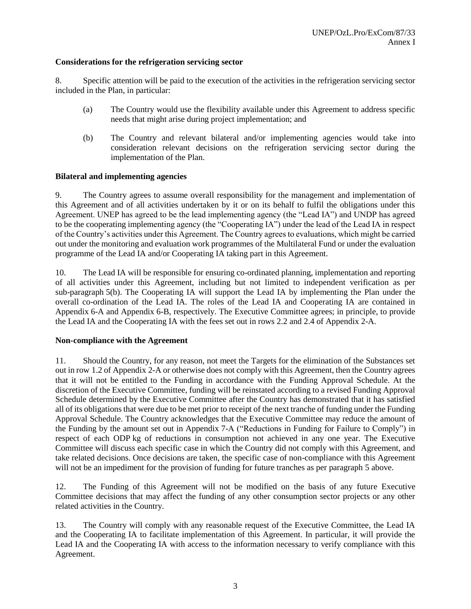## **Considerations for the refrigeration servicing sector**

8. Specific attention will be paid to the execution of the activities in the refrigeration servicing sector included in the Plan, in particular:

- (a) The Country would use the flexibility available under this Agreement to address specific needs that might arise during project implementation; and
- (b) The Country and relevant bilateral and/or implementing agencies would take into consideration relevant decisions on the refrigeration servicing sector during the implementation of the Plan.

#### **Bilateral and implementing agencies**

9. The Country agrees to assume overall responsibility for the management and implementation of this Agreement and of all activities undertaken by it or on its behalf to fulfil the obligations under this Agreement. UNEP has agreed to be the lead implementing agency (the "Lead IA") and UNDP has agreed to be the cooperating implementing agency (the "Cooperating IA") under the lead of the Lead IA in respect of the Country's activities under this Agreement. The Country agrees to evaluations, which might be carried out under the monitoring and evaluation work programmes of the Multilateral Fund or under the evaluation programme of the Lead IA and/or Cooperating IA taking part in this Agreement.

10. The Lead IA will be responsible for ensuring co-ordinated planning, implementation and reporting of all activities under this Agreement, including but not limited to independent verification as per sub-paragraph 5(b). The Cooperating IA will support the Lead IA by implementing the Plan under the overall co-ordination of the Lead IA. The roles of the Lead IA and Cooperating IA are contained in Appendix 6-A and Appendix 6-B, respectively. The Executive Committee agrees; in principle, to provide the Lead IA and the Cooperating IA with the fees set out in rows 2.2 and 2.4 of Appendix 2-A.

#### **Non-compliance with the Agreement**

11. Should the Country, for any reason, not meet the Targets for the elimination of the Substances set out in row 1.2 of Appendix 2-A or otherwise does not comply with this Agreement, then the Country agrees that it will not be entitled to the Funding in accordance with the Funding Approval Schedule. At the discretion of the Executive Committee, funding will be reinstated according to a revised Funding Approval Schedule determined by the Executive Committee after the Country has demonstrated that it has satisfied all of its obligations that were due to be met prior to receipt of the next tranche of funding under the Funding Approval Schedule. The Country acknowledges that the Executive Committee may reduce the amount of the Funding by the amount set out in Appendix 7-A ("Reductions in Funding for Failure to Comply") in respect of each ODP kg of reductions in consumption not achieved in any one year. The Executive Committee will discuss each specific case in which the Country did not comply with this Agreement, and take related decisions. Once decisions are taken, the specific case of non-compliance with this Agreement will not be an impediment for the provision of funding for future tranches as per paragraph 5 above.

12. The Funding of this Agreement will not be modified on the basis of any future Executive Committee decisions that may affect the funding of any other consumption sector projects or any other related activities in the Country.

13. The Country will comply with any reasonable request of the Executive Committee, the Lead IA and the Cooperating IA to facilitate implementation of this Agreement. In particular, it will provide the Lead IA and the Cooperating IA with access to the information necessary to verify compliance with this Agreement.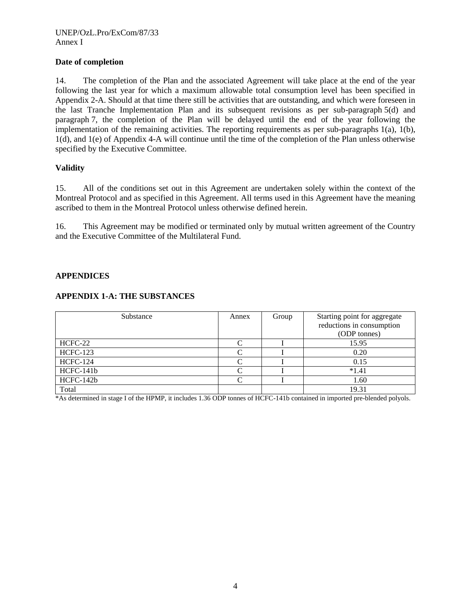# **Date of completion**

14. The completion of the Plan and the associated Agreement will take place at the end of the year following the last year for which a maximum allowable total consumption level has been specified in Appendix 2-A. Should at that time there still be activities that are outstanding, and which were foreseen in the last Tranche Implementation Plan and its subsequent revisions as per sub-paragraph 5(d) and paragraph 7, the completion of the Plan will be delayed until the end of the year following the implementation of the remaining activities. The reporting requirements as per sub-paragraphs 1(a), 1(b), 1(d), and 1(e) of Appendix 4-A will continue until the time of the completion of the Plan unless otherwise specified by the Executive Committee.

# **Validity**

15. All of the conditions set out in this Agreement are undertaken solely within the context of the Montreal Protocol and as specified in this Agreement. All terms used in this Agreement have the meaning ascribed to them in the Montreal Protocol unless otherwise defined herein.

16. This Agreement may be modified or terminated only by mutual written agreement of the Country and the Executive Committee of the Multilateral Fund.

#### **APPENDICES**

# **APPENDIX 1-A: THE SUBSTANCES**

| Substance       | Annex | Group | Starting point for aggregate |
|-----------------|-------|-------|------------------------------|
|                 |       |       | reductions in consumption    |
|                 |       |       | (ODP tonnes)                 |
| HCFC-22         | ⌒     |       | 15.95                        |
| <b>HCFC-123</b> |       |       | 0.20                         |
| <b>HCFC-124</b> | ⌒     |       | 0.15                         |
| HCFC-141b       | ⌒     |       | $*1.41$                      |
| HCFC-142b       |       |       | 1.60                         |
| Total           |       |       | 19.31                        |

\*As determined in stage I of the HPMP, it includes 1.36 ODP tonnes of HCFC-141b contained in imported pre-blended polyols.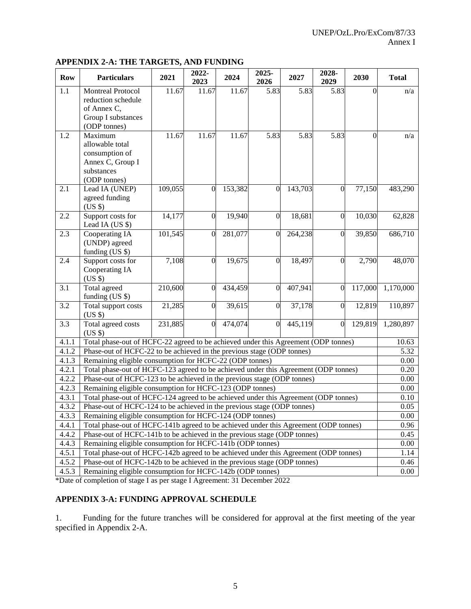#### **APPENDIX 2-A: THE TARGETS, AND FUNDING**

| <b>Row</b>       | <b>Particulars</b>                                                                                                                  | 2021    | 2022-<br>2023    | 2024    | 2025-<br>2026    | 2027    | 2028-<br>2029    | 2030     | <b>Total</b> |
|------------------|-------------------------------------------------------------------------------------------------------------------------------------|---------|------------------|---------|------------------|---------|------------------|----------|--------------|
| 1.1              | <b>Montreal Protocol</b><br>reduction schedule<br>of Annex C,<br>Group I substances                                                 | 11.67   | 11.67            | 11.67   | 5.83             | 5.83    | 5.83             | $\Omega$ | n/a          |
| 1.2              | (ODP tonnes)<br>Maximum<br>allowable total<br>consumption of<br>Annex C, Group I<br>substances<br>(ODP tonnes)                      | 11.67   | 11.67            | 11.67   | 5.83             | 5.83    | 5.83             | $\theta$ | n/a          |
| 2.1              | Lead IA (UNEP)<br>agreed funding<br>$(US \$                                                                                         | 109,055 | $\overline{0}$   | 153,382 | $\overline{0}$   | 143,703 | $\overline{0}$   | 77,150   | 483,290      |
| 2.2              | Support costs for<br>Lead IA (US \$)                                                                                                | 14,177  | $\overline{0}$   | 19,940  | $\overline{0}$   | 18,681  | $\overline{0}$   | 10,030   | 62,828       |
| 2.3              | Cooperating IA<br>(UNDP) agreed<br>funding (US \$)                                                                                  | 101,545 | $\mathbf{0}$     | 281,077 | $\overline{0}$   | 264,238 | $\overline{0}$   | 39,850   | 686,710      |
| 2.4              | Support costs for<br>Cooperating IA<br>(US \$)                                                                                      | 7,108   | $\boldsymbol{0}$ | 19,675  | $\overline{0}$   | 18,497  | $\mathbf{0}$     | 2,790    | 48,070       |
| 3.1              | Total agreed<br>funding $(US \$                                                                                                     | 210,600 | $\overline{0}$   | 434,459 | $\boldsymbol{0}$ | 407,941 | $\boldsymbol{0}$ | 117,000  | 1,170,000    |
| 3.2              | Total support costs<br>$(US \$                                                                                                      | 21,285  | $\overline{0}$   | 39,615  | $\mathbf{0}$     | 37,178  | $\overline{0}$   | 12,819   | 110,897      |
| $\overline{3.3}$ | Total agreed costs<br>(US \$)                                                                                                       | 231,885 | $\boldsymbol{0}$ | 474,074 | $\overline{0}$   | 445,119 | $\overline{0}$   | 129,819  | 1,280,897    |
| 4.1.1            | Total phase-out of HCFC-22 agreed to be achieved under this Agreement (ODP tonnes)                                                  |         |                  |         |                  |         |                  |          | 10.63        |
| 4.1.2            | Phase-out of HCFC-22 to be achieved in the previous stage (ODP tonnes)                                                              |         |                  |         |                  |         |                  |          | 5.32         |
| 4.1.3            | Remaining eligible consumption for HCFC-22 (ODP tonnes)                                                                             |         |                  |         |                  |         |                  |          | 0.00         |
| 4.2.1            | Total phase-out of HCFC-123 agreed to be achieved under this Agreement (ODP tonnes)                                                 |         |                  |         |                  |         |                  |          | 0.20         |
| 4.2.2            | Phase-out of HCFC-123 to be achieved in the previous stage (ODP tonnes)                                                             |         |                  |         |                  |         |                  |          | 0.00         |
| 4.2.3            | Remaining eligible consumption for HCFC-123 (ODP tonnes)                                                                            |         |                  |         |                  |         |                  |          | 0.00         |
| 4.3.1<br>4.3.2   | Total phase-out of HCFC-124 agreed to be achieved under this Agreement (ODP tonnes)                                                 |         |                  |         |                  |         |                  |          | 0.10<br>0.05 |
| 4.3.3            | Phase-out of HCFC-124 to be achieved in the previous stage (ODP tonnes)<br>Remaining eligible consumption for HCFC-124 (ODP tonnes) |         |                  |         |                  |         |                  |          | 0.00         |
| 4.4.1            | Total phase-out of HCFC-141b agreed to be achieved under this Agreement (ODP tonnes)                                                |         |                  |         |                  |         |                  |          | 0.96         |
| 4.4.2            | Phase-out of HCFC-141b to be achieved in the previous stage (ODP tonnes)                                                            |         |                  |         |                  |         |                  |          | 0.45         |
| 4.4.3            | Remaining eligible consumption for HCFC-141b (ODP tonnes)                                                                           |         |                  |         |                  |         |                  |          | 0.00         |
| 4.5.1            | Total phase-out of HCFC-142b agreed to be achieved under this Agreement (ODP tonnes)                                                |         |                  |         |                  |         |                  |          | 1.14         |
| 4.5.2            | Phase-out of HCFC-142b to be achieved in the previous stage (ODP tonnes)                                                            |         |                  |         |                  |         |                  |          | 0.46         |
| 4.5.3            | Remaining eligible consumption for HCFC-142b (ODP tonnes)                                                                           |         |                  |         |                  |         |                  |          | 0.00         |

\*Date of completion of stage I as per stage I Agreement: 31 December 2022

# **APPENDIX 3-A: FUNDING APPROVAL SCHEDULE**

1. Funding for the future tranches will be considered for approval at the first meeting of the year specified in Appendix 2-A.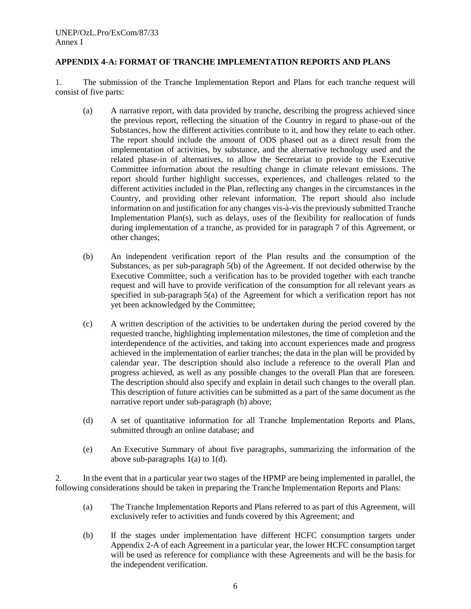## **APPENDIX 4-A: FORMAT OF TRANCHE IMPLEMENTATION REPORTS AND PLANS**

1. The submission of the Tranche Implementation Report and Plans for each tranche request will consist of five parts:

- (a) A narrative report, with data provided by tranche, describing the progress achieved since the previous report, reflecting the situation of the Country in regard to phase-out of the Substances, how the different activities contribute to it, and how they relate to each other. The report should include the amount of ODS phased out as a direct result from the implementation of activities, by substance, and the alternative technology used and the related phase-in of alternatives, to allow the Secretariat to provide to the Executive Committee information about the resulting change in climate relevant emissions. The report should further highlight successes, experiences, and challenges related to the different activities included in the Plan, reflecting any changes in the circumstances in the Country, and providing other relevant information. The report should also include information on and justification for any changes vis-à-vis the previously submitted Tranche Implementation Plan(s), such as delays, uses of the flexibility for reallocation of funds during implementation of a tranche, as provided for in paragraph 7 of this Agreement, or other changes;
- (b) An independent verification report of the Plan results and the consumption of the Substances, as per sub-paragraph 5(b) of the Agreement. If not decided otherwise by the Executive Committee, such a verification has to be provided together with each tranche request and will have to provide verification of the consumption for all relevant years as specified in sub-paragraph 5(a) of the Agreement for which a verification report has not yet been acknowledged by the Committee;
- (c) A written description of the activities to be undertaken during the period covered by the requested tranche, highlighting implementation milestones, the time of completion and the interdependence of the activities, and taking into account experiences made and progress achieved in the implementation of earlier tranches; the data in the plan will be provided by calendar year. The description should also include a reference to the overall Plan and progress achieved, as well as any possible changes to the overall Plan that are foreseen. The description should also specify and explain in detail such changes to the overall plan. This description of future activities can be submitted as a part of the same document as the narrative report under sub-paragraph (b) above;
- (d) A set of quantitative information for all Tranche Implementation Reports and Plans, submitted through an online database; and
- (e) An Executive Summary of about five paragraphs, summarizing the information of the above sub-paragraphs 1(a) to 1(d).

2. In the event that in a particular year two stages of the HPMP are being implemented in parallel, the following considerations should be taken in preparing the Tranche Implementation Reports and Plans:

- (a) The Tranche Implementation Reports and Plans referred to as part of this Agreement, will exclusively refer to activities and funds covered by this Agreement; and
- (b) If the stages under implementation have different HCFC consumption targets under Appendix 2-A of each Agreement in a particular year, the lower HCFC consumption target will be used as reference for compliance with these Agreements and will be the basis for the independent verification.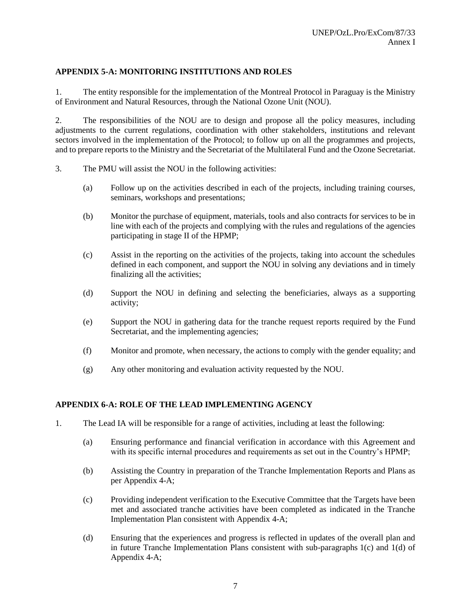# **APPENDIX 5-A: MONITORING INSTITUTIONS AND ROLES**

1. The entity responsible for the implementation of the Montreal Protocol in Paraguay is the Ministry of Environment and Natural Resources, through the National Ozone Unit (NOU).

2. The responsibilities of the NOU are to design and propose all the policy measures, including adjustments to the current regulations, coordination with other stakeholders, institutions and relevant sectors involved in the implementation of the Protocol; to follow up on all the programmes and projects, and to prepare reports to the Ministry and the Secretariat of the Multilateral Fund and the Ozone Secretariat.

- 3. The PMU will assist the NOU in the following activities:
	- (a) Follow up on the activities described in each of the projects, including training courses, seminars, workshops and presentations;
	- (b) Monitor the purchase of equipment, materials, tools and also contracts for services to be in line with each of the projects and complying with the rules and regulations of the agencies participating in stage II of the HPMP;
	- (c) Assist in the reporting on the activities of the projects, taking into account the schedules defined in each component, and support the NOU in solving any deviations and in timely finalizing all the activities;
	- (d) Support the NOU in defining and selecting the beneficiaries, always as a supporting activity;
	- (e) Support the NOU in gathering data for the tranche request reports required by the Fund Secretariat, and the implementing agencies;
	- (f) Monitor and promote, when necessary, the actions to comply with the gender equality; and
	- (g) Any other monitoring and evaluation activity requested by the NOU.

#### **APPENDIX 6-A: ROLE OF THE LEAD IMPLEMENTING AGENCY**

- 1. The Lead IA will be responsible for a range of activities, including at least the following:
	- (a) Ensuring performance and financial verification in accordance with this Agreement and with its specific internal procedures and requirements as set out in the Country's HPMP;
	- (b) Assisting the Country in preparation of the Tranche Implementation Reports and Plans as per Appendix 4-A;
	- (c) Providing independent verification to the Executive Committee that the Targets have been met and associated tranche activities have been completed as indicated in the Tranche Implementation Plan consistent with Appendix 4-A;
	- (d) Ensuring that the experiences and progress is reflected in updates of the overall plan and in future Tranche Implementation Plans consistent with sub-paragraphs  $1(c)$  and  $1(d)$  of Appendix 4-A;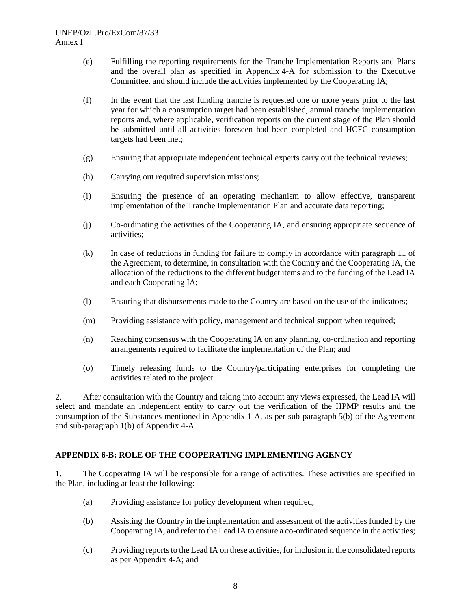- (e) Fulfilling the reporting requirements for the Tranche Implementation Reports and Plans and the overall plan as specified in Appendix 4-A for submission to the Executive Committee, and should include the activities implemented by the Cooperating IA;
- (f) In the event that the last funding tranche is requested one or more years prior to the last year for which a consumption target had been established, annual tranche implementation reports and, where applicable, verification reports on the current stage of the Plan should be submitted until all activities foreseen had been completed and HCFC consumption targets had been met;
- (g) Ensuring that appropriate independent technical experts carry out the technical reviews;
- (h) Carrying out required supervision missions;
- (i) Ensuring the presence of an operating mechanism to allow effective, transparent implementation of the Tranche Implementation Plan and accurate data reporting;
- (j) Co-ordinating the activities of the Cooperating IA, and ensuring appropriate sequence of activities;
- (k) In case of reductions in funding for failure to comply in accordance with paragraph 11 of the Agreement, to determine, in consultation with the Country and the Cooperating IA, the allocation of the reductions to the different budget items and to the funding of the Lead IA and each Cooperating IA;
- (l) Ensuring that disbursements made to the Country are based on the use of the indicators;
- (m) Providing assistance with policy, management and technical support when required;
- (n) Reaching consensus with the Cooperating IA on any planning, co-ordination and reporting arrangements required to facilitate the implementation of the Plan; and
- (o) Timely releasing funds to the Country/participating enterprises for completing the activities related to the project.

2. After consultation with the Country and taking into account any views expressed, the Lead IA will select and mandate an independent entity to carry out the verification of the HPMP results and the consumption of the Substances mentioned in Appendix 1-A, as per sub-paragraph 5(b) of the Agreement and sub-paragraph 1(b) of Appendix 4-A.

#### **APPENDIX 6-B: ROLE OF THE COOPERATING IMPLEMENTING AGENCY**

1. The Cooperating IA will be responsible for a range of activities. These activities are specified in the Plan, including at least the following:

- (a) Providing assistance for policy development when required;
- (b) Assisting the Country in the implementation and assessment of the activities funded by the Cooperating IA, and refer to the Lead IA to ensure a co-ordinated sequence in the activities;
- (c) Providing reports to the Lead IA on these activities, for inclusion in the consolidated reports as per Appendix 4-A; and